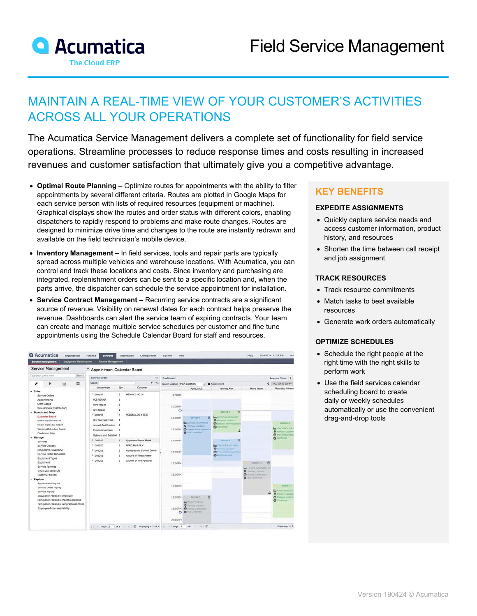

# MAINTAIN A REAL-TIME VIEW OF YOUR CUSTOMER'S ACTIVITIES ACROSS ALL YOUR OPERATIONS

The Acumatica Service Management delivers a complete set of functionality for field service operations. Streamline processes to reduce response times and costs resulting in increased revenues and customer satisfaction that ultimately give you a competitive advantage.

- **Optimal Route Planning –** Optimize routes for appointments with the ability to filter appointments by several different criteria. Routes are plotted in Google Maps for each service person with lists of required resources (equipment or machine). Graphical displays show the routes and order status with different colors, enabling dispatchers to rapidly respond to problems and make route changes. Routes are designed to minimize drive time and changes to the route are instantly redrawn and available on the field technician's mobile device.
- **Inventory Management –** In field services, tools and repair parts are typically spread across multiple vehicles and warehouse locations. With Acumatica, you can control and track these locations and costs. Since inventory and purchasing are integrated, replenishment orders can be sent to a specific location and, when the parts arrive, the dispatcher can schedule the service appointment for installation.
- **Service Contract Management –** Recurring service contracts are a significant source of revenue. Visibility on renewal dates for each contract helps preserve the revenue. Dashboards can alert the service team of expiring contracts. Your team can create and manage multiple service schedules per customer and fine tune appointments using the Schedule Calendar Board for staff and resources.

| <b>Service Management</b><br><b>Equipment Maintenance</b>                                                                           | <b>Routes Management</b>                         |                                  |                                                                              |                                                                                  |                                                                                              |                                                       |                                                                                    |                                                        |
|-------------------------------------------------------------------------------------------------------------------------------------|--------------------------------------------------|----------------------------------|------------------------------------------------------------------------------|----------------------------------------------------------------------------------|----------------------------------------------------------------------------------------------|-------------------------------------------------------|------------------------------------------------------------------------------------|--------------------------------------------------------|
| Service Management                                                                                                                  | œ<br>Appointment Calendar Board                  |                                  |                                                                              |                                                                                  |                                                                                              |                                                       |                                                                                    |                                                        |
| Search<br>Type your overy here                                                                                                      | Service Order<br>$^{cc}$                         |                                  |                                                                              | Dashboard                                                                        |                                                                                              |                                                       |                                                                                    | Resource Filters: Y                                    |
| $\overline{\mathbf{M}}$<br>☆<br>,<br>ь                                                                                              | $Y - Y_0$<br>Search                              |                                  |                                                                              | Branch Location Main Location<br>$ightharpoonup$ $\bullet$ Appointment           |                                                                                              |                                                       |                                                                                    | < Thu, Jun 26 2014 -                                   |
|                                                                                                                                     | Service Order                                    | Qty                              | Customer                                                                     |                                                                                  | Ayala, Louis                                                                                 | Fanning, Alex                                         | Henry, Jesse                                                                       | Nesereko, Muhamm                                       |
| $-$ Enter<br>Service Orders<br>Appointments<br><b>CRM Cases</b>                                                                     | " 000197.<br>FCB REPAIR<br><b>Fryer Repair</b>   | $\mathbf{3}$<br>1<br>1           | WENDY'S #314                                                                 | 9:00AM                                                                           |                                                                                              |                                                       |                                                                                    |                                                        |
| Sales Orders (Distribution)<br>- Boards and Map<br>Calendar Board<br>Staff Calendar Board<br>Room Calendar Board                    | <b>Grill Repair</b><br>$-000198$                 | ŧ<br>MCDONALDS #6527<br>ä<br>- 1 |                                                                              | 10:00AM<br>$\circ$                                                               |                                                                                              | Ð<br>000178-1                                         |                                                                                    |                                                        |
|                                                                                                                                     | Hot Gas heat treat<br>Annual Certification       |                                  | 11:00AM                                                                      | 西<br>000130-T<br><b>BECHLICKER</b> LA RT448                                      | <b>ME MCDONALDS #6527</b><br><b>Q</b> Primary Literature<br><b>O</b> Dalvery and Installator |                                                       | 000184-1                                                                           |                                                        |
| Working Schedule Board<br>Routes on Map                                                                                             | Preventative Maint<br>Delivery and Installativ 1 |                                  |                                                                              | O Primary Location<br>12:00PM C Preventative Maintenan<br><b>O</b> Not Conferred | <b>O</b> Continued                                                                           |                                                       | <b>BE GROOM'S IRRI</b><br><b>Q</b> Printery Location<br><b>Co</b> Proventione Mail |                                                        |
| - Manage<br><b>Services</b><br>Service Classes<br>Stock hems (Inventory)<br>Service Order Templates<br>Equipment Types<br>Equipment | $-000199$<br><sup>1</sup> 000200                 | ×<br>×                           | Aligasawa Prince Hotel<br>AMRO Bank N.V.<br><b>Nohabetland School Center</b> | 13:00PM                                                                          |                                                                                              | a<br><b>ROOTAG-1</b><br><b>BECHLERATION</b>           |                                                                                    | Curtimed                                               |
|                                                                                                                                     | P:000201                                         | ٠                                |                                                                              | 14:00PM                                                                          |                                                                                              | <b>Q</b> Primary Liscance<br>C Preventative Maintenan |                                                                                    |                                                        |
|                                                                                                                                     | * 000202<br>$P$ 000203                           | 1<br>×                           | Antun's of Westchester<br>Church of The Apostles                             | 15:00PM                                                                          |                                                                                              | <b>O</b> Not Continued                                | <b>HOUSELS</b><br>18<br><b>COLLECTION</b>                                          |                                                        |
| Service Families<br>Employee Schedule                                                                                               |                                                  |                                  |                                                                              |                                                                                  |                                                                                              |                                                       | <b>Let LOVE'S COUNTRY ST</b><br><b>O</b> Primary Location                          |                                                        |
| Customer Central<br>$-$ Explore                                                                                                     |                                                  |                                  |                                                                              | 16:00PM                                                                          |                                                                                              |                                                       | <b>B</b> Annual Contractor<br><b>O</b> Not Continued                               |                                                        |
| Appointment Inquiry<br>Service Order Inquiry                                                                                        |                                                  |                                  |                                                                              | 17:00PM                                                                          |                                                                                              |                                                       |                                                                                    | <b>BODSET-T</b><br><b>MY CARLITO'S CAP</b>             |
| Service Inquiry<br>Occupation Rates by Employee                                                                                     |                                                  |                                  |                                                                              | 18:00PM                                                                          | 西<br>000108-1                                                                                |                                                       |                                                                                    | <b>Q</b> Primary Location<br><b>O</b> Delvery and Inc. |
| Occupation Rates by Branch Locations<br>Occupation Rates by Geographical Zones                                                      |                                                  |                                  |                                                                              |                                                                                  | <b>BM</b> WENDY'S ROLE<br><b>Q</b> Primary Liscolar                                          |                                                       |                                                                                    | <b>O</b> Cardemant                                     |
| Employee-Room Availability                                                                                                          |                                                  |                                  |                                                                              |                                                                                  | 19:00PM & Annual Carillication<br>O ONIGHTHE                                                 |                                                       |                                                                                    |                                                        |
|                                                                                                                                     |                                                  |                                  |                                                                              | 20:00PM                                                                          |                                                                                              |                                                       |                                                                                    |                                                        |

## **KEY BENEFITS**

#### **EXPEDITE ASSIGNMENTS**

- Quickly capture service needs and access customer information, product history, and resources
- Shorten the time between call receipt and job assignment

#### **TRACK RESOURCES**

- Track resource commitments
- Match tasks to best available resources
- Generate work orders automatically

#### **OPTIMIZE SCHEDULES**

- Schedule the right people at the right time with the right skills to perform work
- Use the field services calendar scheduling board to create daily or weekly schedules automatically or use the convenient drag-and-drop tools